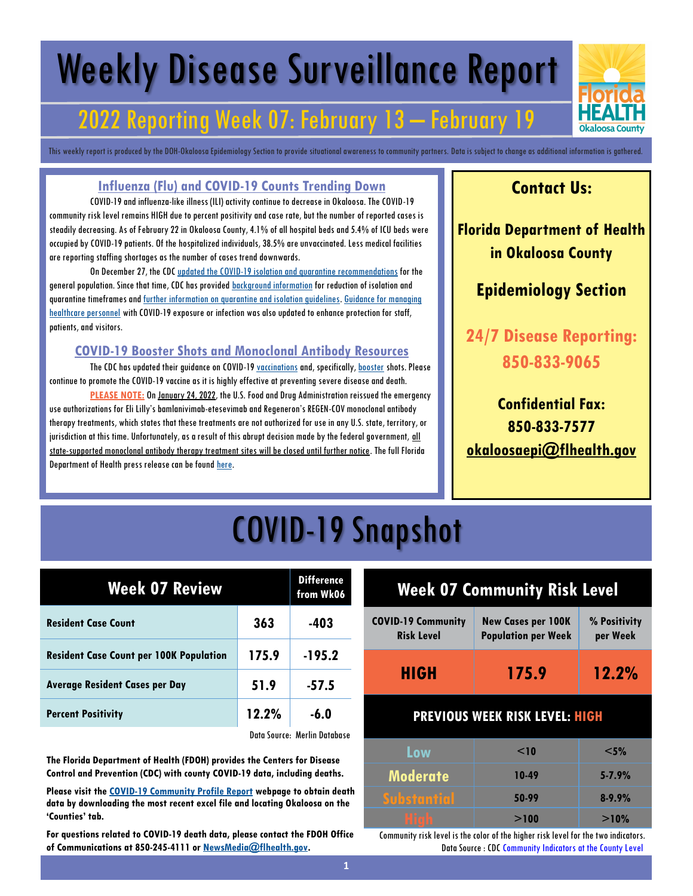# Weekly Disease Surveillance Report

## 2022 Reporting Week 07: February 13 – February 19

This weekly report is produced by the DOH-Okaloosa Epidemiology Section to provide situational awareness to community partners. Data is subject to change as additional information is gathered.

#### **Influenza (Flu) and COVID-19 Counts Trending Down**

COVID-19 and influenza-like illness (ILI) activity continue to decrease in Okaloosa. The COVID-19 community risk level remains HIGH due to percent positivity and case rate, but the number of reported cases is steadily decreasing. As of February 22 in Okaloosa County, 4.1% of all hospital beds and 5.4% of ICU beds were occupied by COVID-19 patients. Of the hospitalized individuals, 38.5% are unvaccinated. Less medical facilities are reporting staffing shortages as the number of cases trend downwards.

On December 27, the CDC [updated the COVID-19 isolation and quarantine recommendations](https://www.cdc.gov/media/releases/2021/s1227-isolation-quarantine-guidance.html) for the general population. Since that time, CDC has provided **[background information](https://www.cdc.gov/coronavirus/2019-ncov/if-you-are-sick/quarantine-isolation-background.html)** for reduction of isolation and quarantine timeframes and [further information on quarantine and isolation guidelines.](https://www.cdc.gov/coronavirus/2019-ncov/your-health/quarantine-isolation.html) [Guidance for managing](https://www.cdc.gov/coronavirus/2019-ncov/hcp/guidance-risk-assesment-hcp.html)  [healthcare personnel](https://www.cdc.gov/coronavirus/2019-ncov/hcp/guidance-risk-assesment-hcp.html) with COVID-19 exposure or infection was also updated to enhance protection for staff, patients, and visitors.

#### **COVID-19 Booster Shots and Monoclonal Antibody Resources**

The CDC has updated their guidance on COVID-19 [vaccinations](https://www.cdc.gov/coronavirus/2019-ncov/vaccines/expect.html) and, specifically, [booster](https://www.cdc.gov/coronavirus/2019-ncov/vaccines/booster-shot.html) shots. Please continue to promote the COVID-19 vaccine as it is highly effective at preventing severe disease and death.

**PLEASE NOTE:** On [January 24, 2022,](https://www.fda.gov/news-events/press-announcements/coronavirus-covid-19-update-fda-limits-use-certain-monoclonal-antibodies-treat-covid-19-due-omicron) the U.S. Food and Drug Administration reissued the emergency use authorizations for Eli Lilly's bamlanivimab-etesevimab and Regeneron's REGEN-COV monoclonal antibody therapy treatments, which states that these treatments are not authorized for use in any U.S. state, territory, or jurisdiction at this time. Unfortunately, as a result of this abrupt decision made by the federal government, all state-supported monoclonal antibody therapy treatment sites will be closed until further notice. The full Florida Department of Health press release can be found [here.](https://www.floridahealth.gov/newsroom/2022/01/20220124-fda-removes-treatment-authorization.pr.html)

### **Contact Us:**

**Florida Department of Health in Okaloosa County**

### **Epidemiology Section**

**24/7 Disease Reporting: 850-833-9065**

**Confidential Fax: 850-833-7577 [okaloosaepi@flhealth.gov](mailto:okaloosaepi@flhealth.gov)**

## COVID-19 Snapshot

| <b>Week 07 Review</b>                          | <b>Difference</b><br>from Wk06 |          |
|------------------------------------------------|--------------------------------|----------|
| <b>Resident Case Count</b>                     | 363                            | $-403$   |
| <b>Resident Case Count per 100K Population</b> | 175.9                          | $-195.2$ |
| <b>Average Resident Cases per Day</b>          | 51.9                           | $-57.5$  |
| <b>Percent Positivity</b>                      | 12.2%                          | $-6.0$   |
|                                                | .                              | .        |

Data Source: Merlin Database

**The Florida Department of Health (FDOH) provides the Centers for Disease Control and Prevention (CDC) with county COVID-19 data, including deaths.** 

**Please visit the [COVID-19 Community Profile Report](https://healthdata.gov/Health/COVID-19-Community-Profile-Report/gqxm-d9w9) webpage to obtain death data by downloading the most recent excel file and locating Okaloosa on the 'Counties' tab.** 

**For questions related to COVID-19 death data, please contact the FDOH Office of Communications at 850-245-4111 or [NewsMedia@flhealth.gov.](mailto:NewsMedia@flhealth.gov)**

# **Week 07 Community Risk Level**

| <b>COVID-19 Community</b> | <b>New Cases per 100K</b>  | % Positivity |
|---------------------------|----------------------------|--------------|
| <b>Risk Level</b>         | <b>Population per Week</b> | per Week     |
| <b>HIGH</b>               | 175.9                      | 12.2%        |

#### **PREVIOUS WEEK RISK LEVEL: HIGH**

| Low                | $\leq$ 10 | $<$ 5%     |
|--------------------|-----------|------------|
| Moderate           | 10-49     | $5 - 7.9%$ |
| <b>Substantial</b> | 50-99     | $8 - 9.9%$ |
| i<br>I<br>I<br>Ì   | >100      | >10%       |

Community risk level is the color of the higher risk level for the two indicators. Data Source : CDC Community Indicators at the County Level

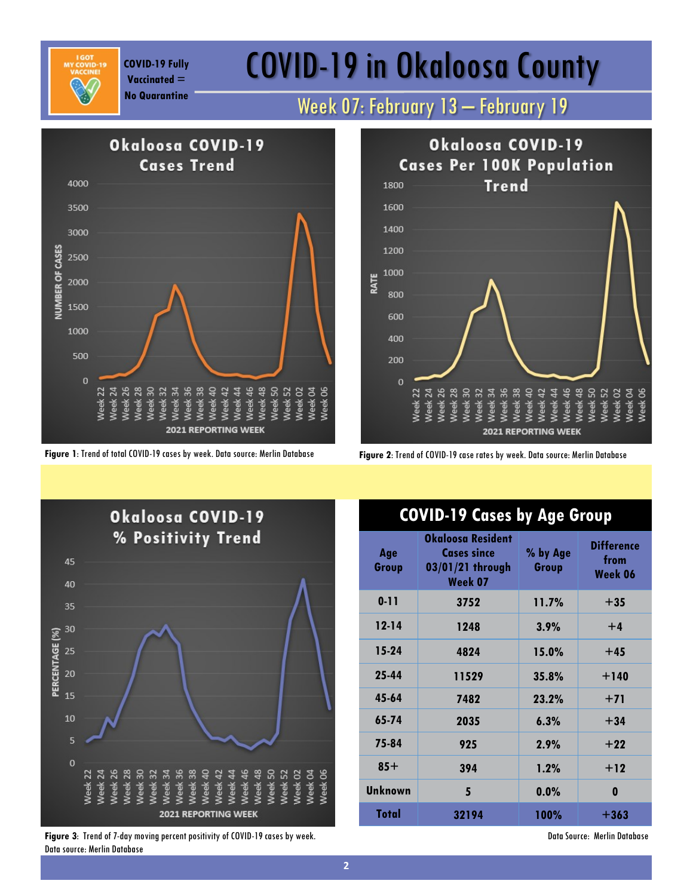**Vaccinated =** 

# COVID-19 Fully **COVID-19 in Okaloosa County**

### **No Quarantine** Week 07: February 13 – February 19





Okaloosa COVID-19 **Cases Per 100K Population Trend** 1800 1600 1400 1200 1000 RATE 800 600 400 200  $\mathbf 0$ 50<br>e a 52<br>e a 62 eek 04 Neek 06  $\begin{array}{c} 26 \\ 28 \end{array}$ \*\*\*\*\* 46  $48$  $22$  $30^{\circ}$  $\frac{4}{3}$  $\overline{24}$ **2021 REPORTING WEEK** 

**Figure 1**: Trend of total COVID-19 cases by week. Data source: Merlin Database **Figure 2**: Trend of COVID-19 case rates by week. Data source: Merlin Database



**Figure 3**: Trend of 7-day moving percent positivity of COVID-19 cases by week. Data source: Merlin Database

### **COVID-19 Cases by Age Group**

| Age<br>Group   | Okaloosa Resident<br><b>Cases since</b><br>03/01/21 through<br>Week 07 | % by Age<br>Group | <b>Difference</b><br>from<br>Week 06 |
|----------------|------------------------------------------------------------------------|-------------------|--------------------------------------|
| $0 - 11$       | 3752                                                                   | 11.7%             | $+35$                                |
| $12 - 14$      | 1248                                                                   | 3.9%              | $+4$                                 |
| $15-24$        | 4824                                                                   | 15.0%             | $+45$                                |
| 25-44          | 11529                                                                  | 35.8%             | $+140$                               |
| 45-64          | 7482                                                                   | 23.2%             | $+71$                                |
| 65-74          | 2035                                                                   | 6.3%              | $+34$                                |
| 75-84          | 925                                                                    | 2.9%              | $+22$                                |
| $85+$          | 394                                                                    | 1.2%              | $+12$                                |
| <b>Unknown</b> | 5                                                                      | 0.0%              | 0                                    |
| Total          | 32194                                                                  | <b>100%</b>       | $+363$                               |

Data Source: Merlin Database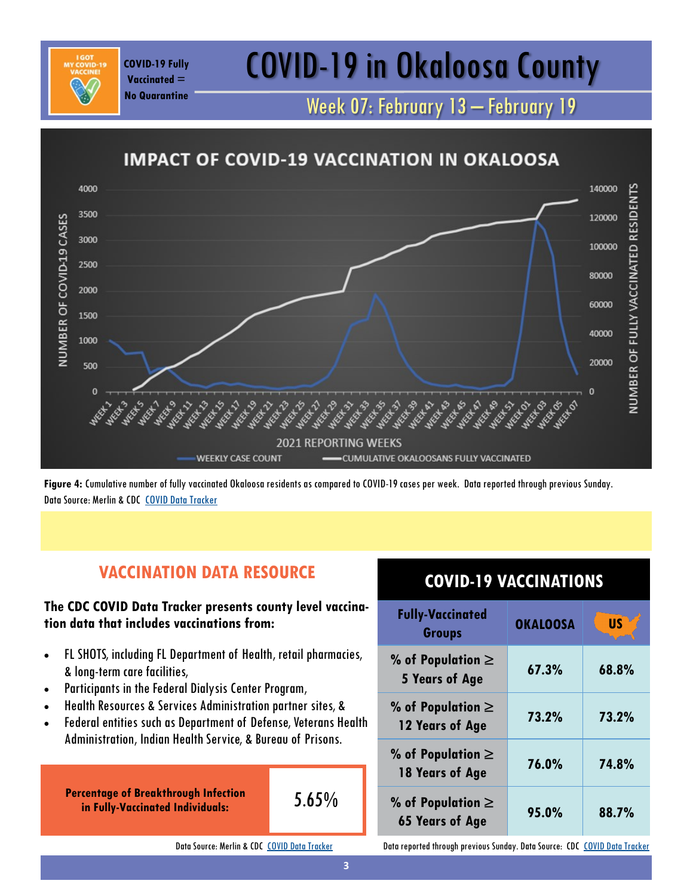## COVID-19 Fully **COVID-19 in Okaloosa County**

Week 07: February 13 – February 19



**Figure 4:** Cumulative number of fully vaccinated Okaloosa residents as compared to COVID-19 cases per week. Data reported through previous Sunday. Data Source: Merlin & CDC [COVID Data Tracker](https://covid.cdc.gov/covid-data-tracker/#vaccinations)

### **VACCINATION DATA RESOURCE**

#### **The CDC COVID Data Tracker presents county level vaccination data that includes vaccinations from:**

- FL SHOTS, including FL Department of Health, retail pharmacies, & long-term care facilities,
- Participants in the Federal Dialysis Center Program,

**Vaccinated = No Quarantine**

- Health Resources & Services Administration partner sites, &
- Federal entities such as Department of Defense, Veterans Health Administration, Indian Health Service, & Bureau of Prisons.

**Percentage of Breakthrough Infection in Fully-Vaccinated Individuals:** 

$$
5.65\%
$$

Data Source: Merlin & CDC [COVID Data Tracker](https://covid.cdc.gov/covid-data-tracker/#vaccinations)

### **COVID-19 VACCINATIONS**

| <b>Fully-Vaccinated</b><br><b>Groups</b>        | <b>OKALOOSA</b> | <b>US</b> |
|-------------------------------------------------|-----------------|-----------|
| % of Population $\ge$<br><b>5 Years of Age</b>  | 67.3%           | 68.8%     |
| % of Population $\ge$<br>12 Years of Age        | 73.2%           | 73.2%     |
| % of Population $\ge$<br>18 Years of Age        | 76.0%           | 74.8%     |
| % of Population $\ge$<br><b>65 Years of Age</b> | 95.0%           | 88.7%     |

Data reported through previous Sunday. Data Source: CDC [COVID Data Tracker](https://covid.cdc.gov/covid-data-tracker/#vaccinations)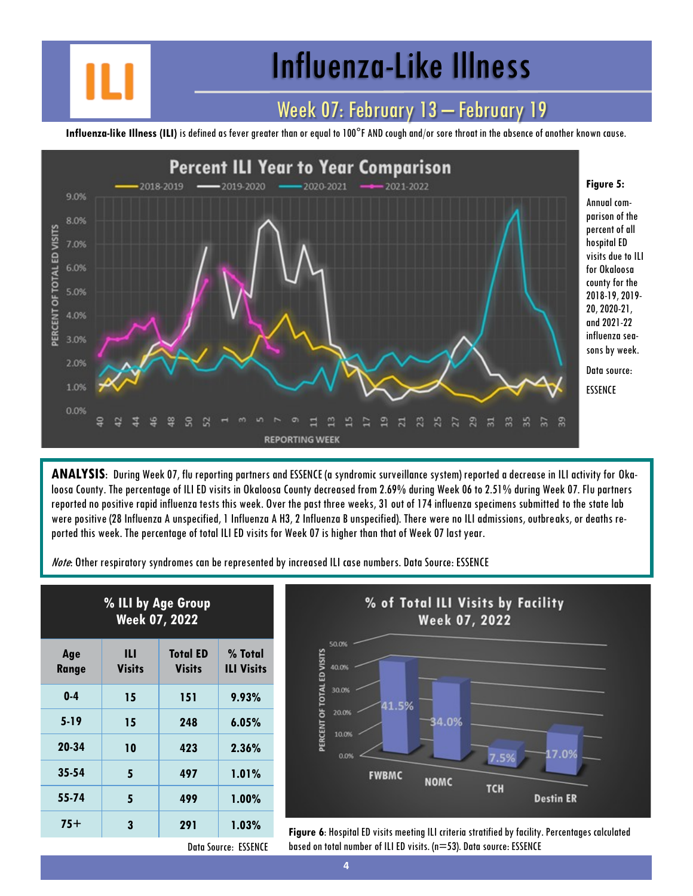## Influenza-Like Illness

### Week 07: February 13 – February 19

**Influenza-like Illness (ILI)** is defined as fever greater than or equal to 100°F AND cough and/or sore throat in the absence of another known cause.



**ANALYSIS**: During Week 07, flu reporting partners and ESSENCE (a syndromic surveillance system) reported a decrease in ILI activity for Okaloosa County. The percentage of ILI ED visits in Okaloosa County decreased from 2.69% during Week 06 to 2.51% during Week 07. Flu partners reported no positive rapid influenza tests this week. Over the past three weeks, 31 out of 174 influenza specimens submitted to the state lab were positive (28 Influenza A unspecified, 1 Influenza A H3, 2 Influenza B unspecified). There were no ILI admissions, outbreaks, or deaths reported this week. The percentage of total ILI ED visits for Week 07 is higher than that of Week 07 last year.

Note: Other respiratory syndromes can be represented by increased ILI case numbers. Data Source: ESSENCE

| % ILI by Age Group<br><b>Week 07, 2022</b> |                    |                                  |                              |
|--------------------------------------------|--------------------|----------------------------------|------------------------------|
| Age<br><b>Range</b>                        | Ш<br><b>Visits</b> | <b>Total ED</b><br><b>Visits</b> | % Total<br><b>ILI Visits</b> |
| $0-4$                                      | 15                 | 151                              | 9.93%                        |
| $5 - 19$                                   | 15                 | 248                              | 6.05%                        |
| 20-34                                      | 10                 | 423                              | $2.36\%$                     |
| $35 - 54$                                  | 5                  | 497                              | 1.01%                        |
| 55-74                                      | 5                  | 499                              | $1.00\%$                     |
| 75+                                        | 3                  | 291                              | $1.03\%$                     |



**75+ <sup>3</sup> <sup>291</sup> 1.03% Figure 6**: Hospital ED visits meeting ILI criteria stratified by facility. Percentages calculated based on total number of ILI ED visits. (n=53). Data source: ESSENCE

Data Source: ESSENCE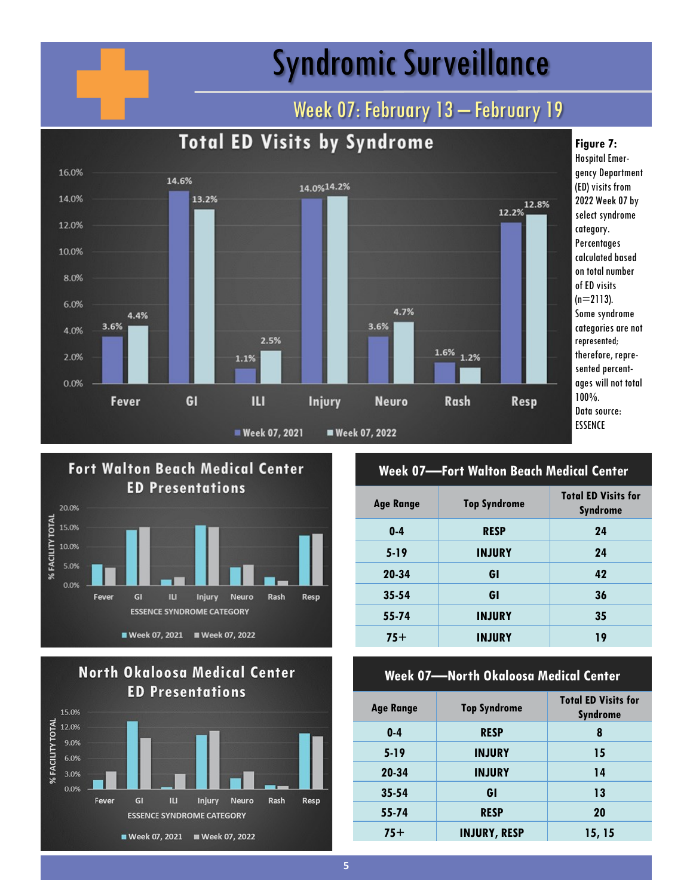# Syndromic Surveillance

## Week 07: February 13 - February 19







#### **Week 07—Fort Walton Beach Medical Center**

| <b>Age Range</b> | <b>Top Syndrome</b> | <b>Total ED Visits for</b><br><b>Syndrome</b> |
|------------------|---------------------|-----------------------------------------------|
| $0-4$            | <b>RESP</b>         | 24                                            |
| $5 - 19$         | <b>INJURY</b>       | 24                                            |
| 20-34            | GI                  | 42                                            |
| $35 - 54$        | GI                  | 36                                            |
| 55-74            | <b>INJURY</b>       | 35                                            |
| $75+$            | <b>INJURY</b>       | 19                                            |

#### **Week 07—North Okaloosa Medical Center**

| <b>Age Range</b> | <b>Top Syndrome</b> | <b>Total ED Visits for</b><br><b>Syndrome</b> |
|------------------|---------------------|-----------------------------------------------|
| $0 - 4$          | <b>RESP</b>         | 8                                             |
| $5-19$           | <b>INJURY</b>       | 15                                            |
| 20-34            | <b>INJURY</b>       | 14                                            |
| $35 - 54$        | GI                  | 13                                            |
| 55-74            | <b>RESP</b>         | 20                                            |
| $75+$            | <b>INJURY, RESP</b> | 15, 15                                        |